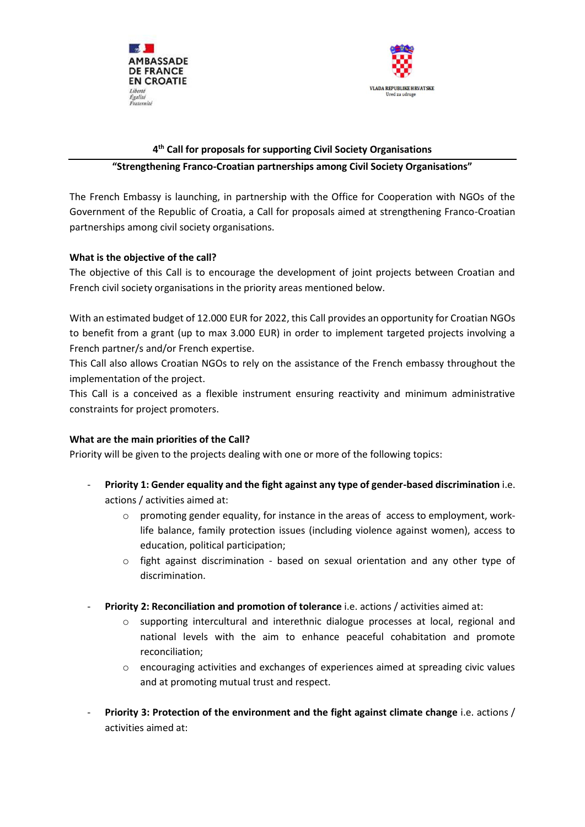



# **4 th Call for proposals for supporting Civil Society Organisations**

### **"Strengthening Franco-Croatian partnerships among Civil Society Organisations"**

The French Embassy is launching, in partnership with the Office for Cooperation with NGOs of the Government of the Republic of Croatia, a Call for proposals aimed at strengthening Franco-Croatian partnerships among civil society organisations.

## **What is the objective of the call?**

The objective of this Call is to encourage the development of joint projects between Croatian and French civil society organisations in the priority areas mentioned below.

With an estimated budget of 12.000 EUR for 2022, this Call provides an opportunity for Croatian NGOs to benefit from a grant (up to max 3.000 EUR) in order to implement targeted projects involving a French partner/s and/or French expertise.

This Call also allows Croatian NGOs to rely on the assistance of the French embassy throughout the implementation of the project.

This Call is a conceived as a flexible instrument ensuring reactivity and minimum administrative constraints for project promoters.

#### **What are the main priorities of the Call?**

Priority will be given to the projects dealing with one or more of the following topics:

- **Priority 1: Gender equality and the fight against any type of gender-based discrimination** i.e. actions / activities aimed at:
	- $\circ$  promoting gender equality, for instance in the areas of access to employment, worklife balance, family protection issues (including violence against women), access to education, political participation;
	- $\circ$  fight against discrimination based on sexual orientation and any other type of discrimination.
- Priority 2: Reconciliation and promotion of tolerance i.e. actions / activities aimed at:
	- o supporting intercultural and interethnic dialogue processes at local, regional and national levels with the aim to enhance peaceful cohabitation and promote reconciliation;
	- $\circ$  encouraging activities and exchanges of experiences aimed at spreading civic values and at promoting mutual trust and respect.
- **Priority 3: Protection of the environment and the fight against climate change** i.e. actions / activities aimed at: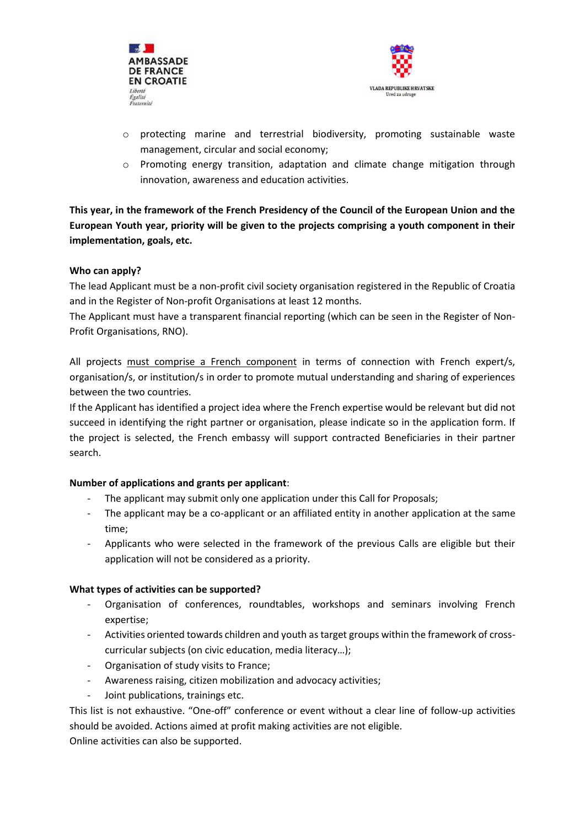



- $\circ$  protecting marine and terrestrial biodiversity, promoting sustainable waste management, circular and social economy;
- $\circ$  Promoting energy transition, adaptation and climate change mitigation through innovation, awareness and education activities.

**This year, in the framework of the French Presidency of the Council of the European Union and the European Youth year, priority will be given to the projects comprising a youth component in their implementation, goals, etc.**

### **Who can apply?**

The lead Applicant must be a non-profit civil society organisation registered in the Republic of Croatia and in the Register of Non-profit Organisations at least 12 months.

The Applicant must have a transparent financial reporting (which can be seen in the Register of Non-Profit Organisations, RNO).

All projects must comprise a French component in terms of connection with French expert/s, organisation/s, or institution/s in order to promote mutual understanding and sharing of experiences between the two countries.

If the Applicant has identified a project idea where the French expertise would be relevant but did not succeed in identifying the right partner or organisation, please indicate so in the application form. If the project is selected, the French embassy will support contracted Beneficiaries in their partner search.

## **Number of applications and grants per applicant**:

- The applicant may submit only one application under this Call for Proposals;
- The applicant may be a co-applicant or an affiliated entity in another application at the same time;
- Applicants who were selected in the framework of the previous Calls are eligible but their application will not be considered as a priority.

## **What types of activities can be supported?**

- Organisation of conferences, roundtables, workshops and seminars involving French expertise;
- Activities oriented towards children and youth as target groups within the framework of crosscurricular subjects (on civic education, media literacy…);
- Organisation of study visits to France;
- Awareness raising, citizen mobilization and advocacy activities;
- Joint publications, trainings etc.

This list is not exhaustive. "One-off" conference or event without a clear line of follow-up activities should be avoided. Actions aimed at profit making activities are not eligible. Online activities can also be supported.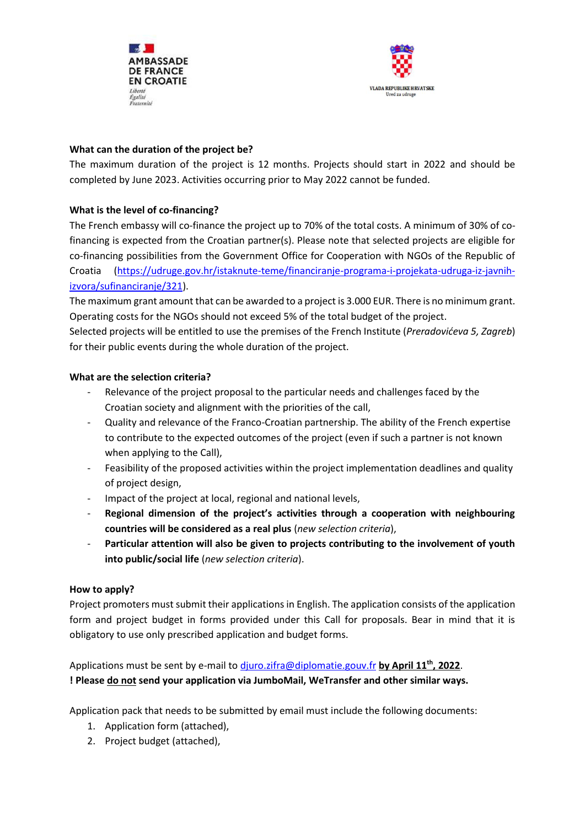



## **What can the duration of the project be?**

The maximum duration of the project is 12 months. Projects should start in 2022 and should be completed by June 2023. Activities occurring prior to May 2022 cannot be funded.

# **What is the level of co-financing?**

The French embassy will co-finance the project up to 70% of the total costs. A minimum of 30% of cofinancing is expected from the Croatian partner(s). Please note that selected projects are eligible for co-financing possibilities from the Government Office for Cooperation with NGOs of the Republic of Croatia [\(https://udruge.gov.hr/istaknute-teme/financiranje-programa-i-projekata-udruga-iz-javnih](https://udruge.gov.hr/istaknute-teme/financiranje-programa-i-projekata-udruga-iz-javnih-izvora/sufinanciranje/321)[izvora/sufinanciranje/321\)](https://udruge.gov.hr/istaknute-teme/financiranje-programa-i-projekata-udruga-iz-javnih-izvora/sufinanciranje/321).

The maximum grant amount that can be awarded to a project is 3.000 EUR. There is no minimum grant. Operating costs for the NGOs should not exceed 5% of the total budget of the project.

Selected projects will be entitled to use the premises of the French Institute (*Preradovićeva 5, Zagreb*) for their public events during the whole duration of the project.

## **What are the selection criteria?**

- Relevance of the project proposal to the particular needs and challenges faced by the Croatian society and alignment with the priorities of the call,
- Quality and relevance of the Franco-Croatian partnership. The ability of the French expertise to contribute to the expected outcomes of the project (even if such a partner is not known when applying to the Call),
- Feasibility of the proposed activities within the project implementation deadlines and quality of project design,
- Impact of the project at local, regional and national levels,
- **Regional dimension of the project's activities through a cooperation with neighbouring countries will be considered as a real plus** (*new selection criteria*),
- **Particular attention will also be given to projects contributing to the involvement of youth into public/social life** (*new selection criteria*).

## **How to apply?**

Project promoters must submit their applications in English. The application consists of the application form and project budget in forms provided under this Call for proposals. Bear in mind that it is obligatory to use only prescribed application and budget forms.

Applications must be sent by e-mail t[o djuro.zifra@diplomatie.gouv.fr](mailto:djuro.zifra@diplomatie.gouv.fr) **by April 11th , 2022**. **! Please do not send your application via JumboMail, WeTransfer and other similar ways.**

Application pack that needs to be submitted by email must include the following documents:

- 1. Application form (attached),
- 2. Project budget (attached),